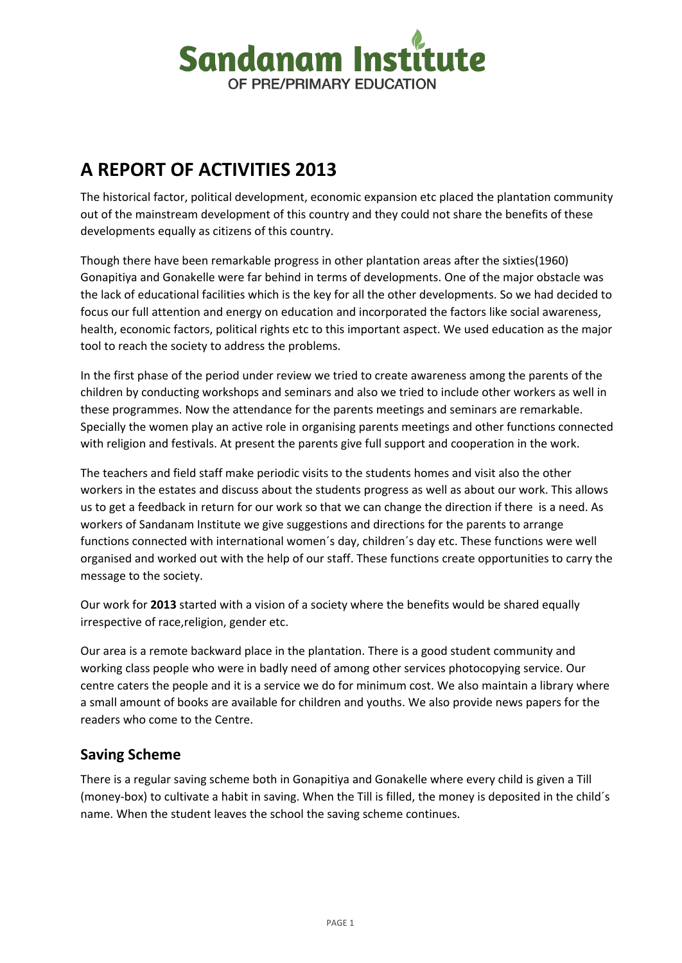

# **A REPORT OF ACTIVITIES 2013**

The historical factor, political development, economic expansion etc placed the plantation community out of the mainstream development of this country and they could not share the benefits of these developments equally as citizens of this country.

Though there have been remarkable progress in other plantation areas after the sixties(1960) Gonapitiya and Gonakelle were far behind in terms of developments. One of the major obstacle was the lack of educational facilities which is the key for all the other developments. So we had decided to focus our full attention and energy on education and incorporated the factors like social awareness, health, economic factors, political rights etc to this important aspect. We used education as the major tool to reach the society to address the problems.

In the first phase of the period under review we tried to create awareness among the parents of the children by conducting workshops and seminars and also we tried to include other workers as well in these programmes. Now the attendance for the parents meetings and seminars are remarkable. Specially the women play an active role in organising parents meetings and other functions connected with religion and festivals. At present the parents give full support and cooperation in the work.

The teachers and field staff make periodic visits to the students homes and visit also the other workers in the estates and discuss about the students progress as well as about our work. This allows us to get a feedback in return for our work so that we can change the direction if there is a need. As workers of Sandanam Institute we give suggestions and directions for the parents to arrange functions connected with international women´s day, children´s day etc. These functions were well organised and worked out with the help of our staff. These functions create opportunities to carry the message to the society.

Our work for **2013** started with a vision of a society where the benefits would be shared equally irrespective of race,religion, gender etc.

Our area is a remote backward place in the plantation. There is a good student community and working class people who were in badly need of among other services photocopying service. Our centre caters the people and it is a service we do for minimum cost. We also maintain a library where a small amount of books are available for children and youths. We also provide news papers for the readers who come to the Centre.

#### **Saving Scheme**

There is a regular saving scheme both in Gonapitiya and Gonakelle where every child is given a Till (money-box) to cultivate a habit in saving. When the Till is filled, the money is deposited in the child´s name. When the student leaves the school the saving scheme continues.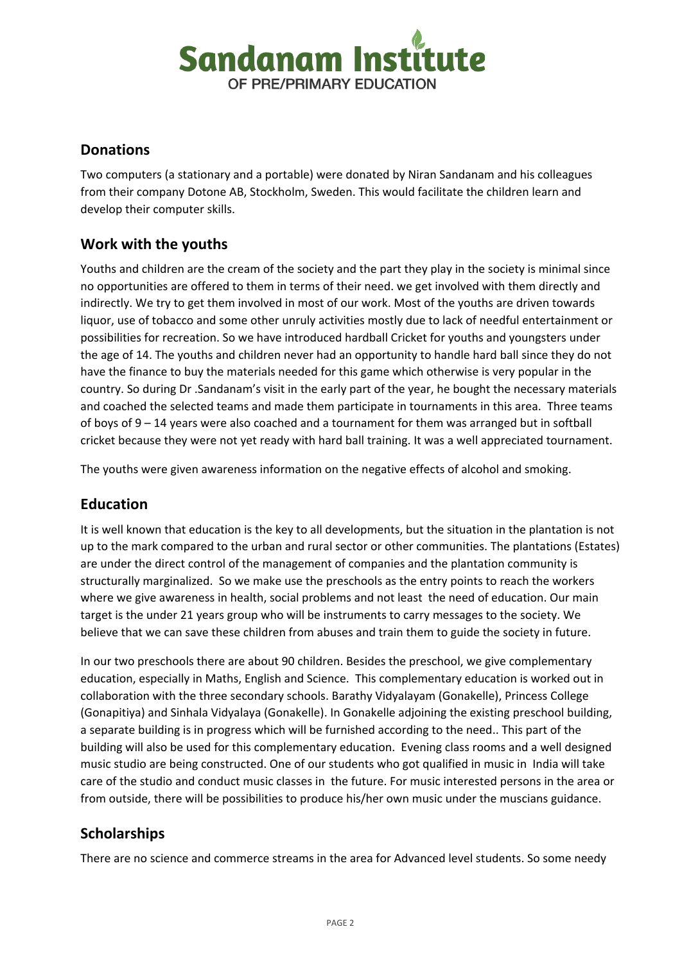

### **Donations**

Two computers (a stationary and a portable) were donated by Niran Sandanam and his colleagues from their company Dotone AB, Stockholm, Sweden. This would facilitate the children learn and develop their computer skills.

## **Work with the youths**

Youths and children are the cream of the society and the part they play in the society is minimal since no opportunities are offered to them in terms of their need. we get involved with them directly and indirectly. We try to get them involved in most of our work. Most of the youths are driven towards liquor, use of tobacco and some other unruly activities mostly due to lack of needful entertainment or possibilities for recreation. So we have introduced hardball Cricket for youths and youngsters under the age of 14. The youths and children never had an opportunity to handle hard ball since they do not have the finance to buy the materials needed for this game which otherwise is very popular in the country. So during Dr .Sandanam's visit in the early part of the year, he bought the necessary materials and coached the selected teams and made them participate in tournaments in this area. Three teams of boys of 9 – 14 years were also coached and a tournament for them was arranged but in softball cricket because they were not yet ready with hard ball training. It was a well appreciated tournament.

The youths were given awareness information on the negative effects of alcohol and smoking.

#### **Education**

It is well known that education is the key to all developments, but the situation in the plantation is not up to the mark compared to the urban and rural sector or other communities. The plantations (Estates) are under the direct control of the management of companies and the plantation community is structurally marginalized. So we make use the preschools as the entry points to reach the workers where we give awareness in health, social problems and not least the need of education. Our main target is the under 21 years group who will be instruments to carry messages to the society. We believe that we can save these children from abuses and train them to guide the society in future.

In our two preschools there are about 90 children. Besides the preschool, we give complementary education, especially in Maths, English and Science. This complementary education is worked out in collaboration with the three secondary schools. Barathy Vidyalayam (Gonakelle), Princess College (Gonapitiya) and Sinhala Vidyalaya (Gonakelle). In Gonakelle adjoining the existing preschool building, a separate building is in progress which will be furnished according to the need.. This part of the building will also be used for this complementary education. Evening class rooms and a well designed music studio are being constructed. One of our students who got qualified in music in India will take care of the studio and conduct music classes in the future. For music interested persons in the area or from outside, there will be possibilities to produce his/her own music under the muscians guidance.

## **Scholarships**

There are no science and commerce streams in the area for Advanced level students. So some needy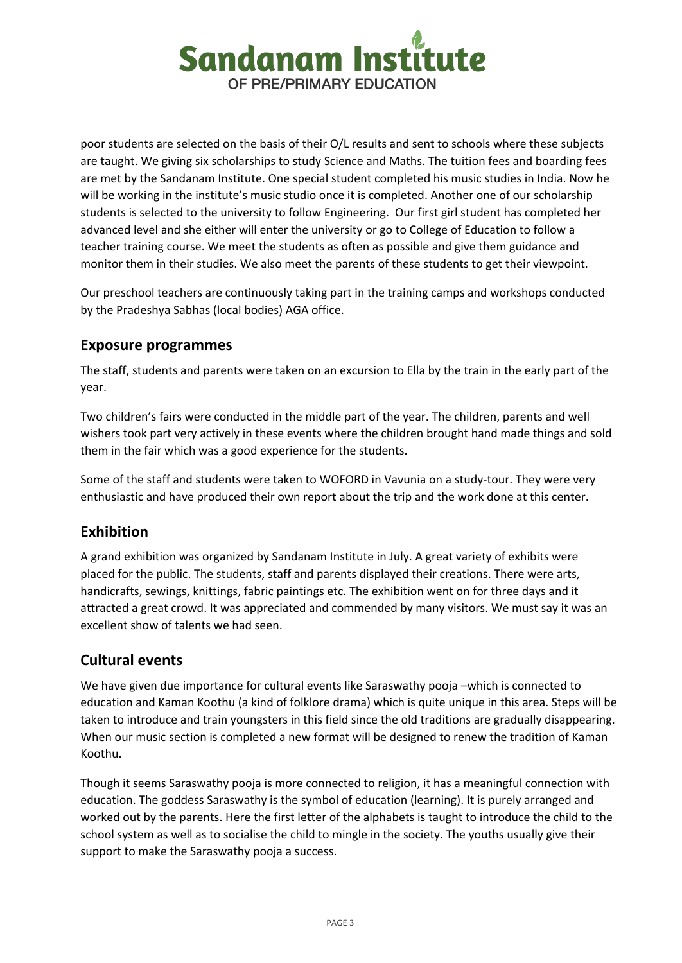

poor students are selected on the basis of their O/L results and sent to schools where these subjects are taught. We giving six scholarships to study Science and Maths. The tuition fees and boarding fees are met by the Sandanam Institute. One special student completed his music studies in India. Now he will be working in the institute's music studio once it is completed. Another one of our scholarship students is selected to the university to follow Engineering. Our first girl student has completed her advanced level and she either will enter the university or go to College of Education to follow a teacher training course. We meet the students as often as possible and give them guidance and monitor them in their studies. We also meet the parents of these students to get their viewpoint.

Our preschool teachers are continuously taking part in the training camps and workshops conducted by the Pradeshya Sabhas (local bodies) AGA office.

#### **Exposure programmes**

The staff, students and parents were taken on an excursion to Ella by the train in the early part of the year.

Two children's fairs were conducted in the middle part of the year. The children, parents and well wishers took part very actively in these events where the children brought hand made things and sold them in the fair which was a good experience for the students.

Some of the staff and students were taken to WOFORD in Vavunia on a study-tour. They were very enthusiastic and have produced their own report about the trip and the work done at this center.

## **Exhibition**

A grand exhibition was organized by Sandanam Institute in July. A great variety of exhibits were placed for the public. The students, staff and parents displayed their creations. There were arts, handicrafts, sewings, knittings, fabric paintings etc. The exhibition went on for three days and it attracted a great crowd. It was appreciated and commended by many visitors. We must say it was an excellent show of talents we had seen.

## **Cultural events**

We have given due importance for cultural events like Saraswathy pooja –which is connected to education and Kaman Koothu (a kind of folklore drama) which is quite unique in this area. Steps will be taken to introduce and train youngsters in this field since the old traditions are gradually disappearing. When our music section is completed a new format will be designed to renew the tradition of Kaman Koothu.

Though it seems Saraswathy pooja is more connected to religion, it has a meaningful connection with education. The goddess Saraswathy is the symbol of education (learning). It is purely arranged and worked out by the parents. Here the first letter of the alphabets is taught to introduce the child to the school system as well as to socialise the child to mingle in the society. The youths usually give their support to make the Saraswathy pooja a success.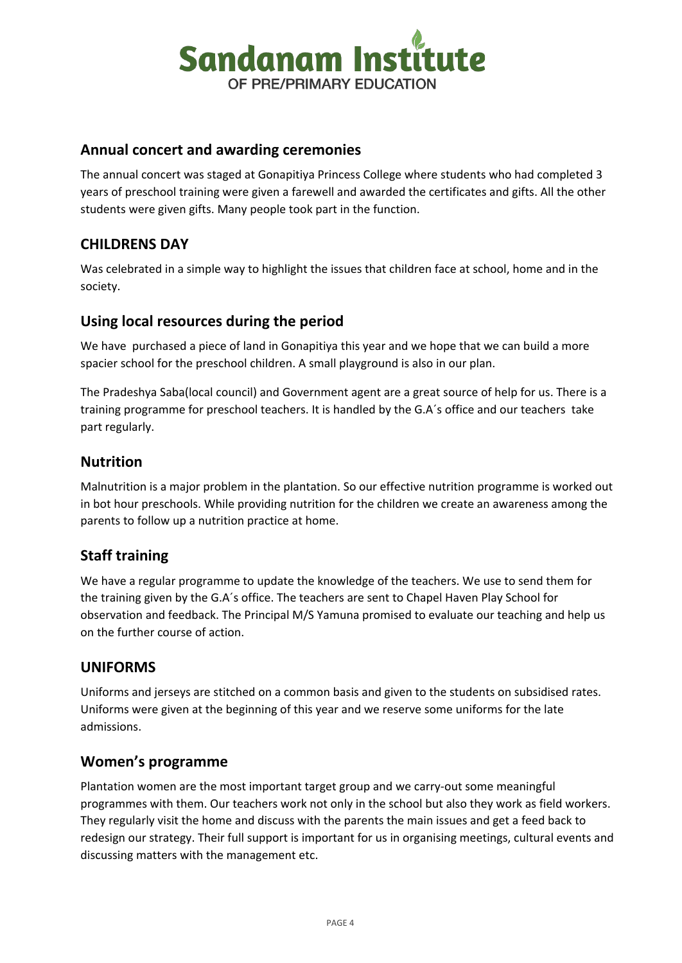

#### **Annual concert and awarding ceremonies**

The annual concert was staged at Gonapitiya Princess College where students who had completed 3 years of preschool training were given a farewell and awarded the certificates and gifts. All the other students were given gifts. Many people took part in the function.

## **CHILDRENS DAY**

Was celebrated in a simple way to highlight the issues that children face at school, home and in the society.

### **Using local resources during the period**

We have purchased a piece of land in Gonapitiya this year and we hope that we can build a more spacier school for the preschool children. A small playground is also in our plan.

The Pradeshya Saba(local council) and Government agent are a great source of help for us. There is a training programme for preschool teachers. It is handled by the G.A´s office and our teachers take part regularly.

### **Nutrition**

Malnutrition is a major problem in the plantation. So our effective nutrition programme is worked out in bot hour preschools. While providing nutrition for the children we create an awareness among the parents to follow up a nutrition practice at home.

## **Staff training**

We have a regular programme to update the knowledge of the teachers. We use to send them for the training given by the G.A´s office. The teachers are sent to Chapel Haven Play School for observation and feedback. The Principal M/S Yamuna promised to evaluate our teaching and help us on the further course of action.

#### **UNIFORMS**

Uniforms and jerseys are stitched on a common basis and given to the students on subsidised rates. Uniforms were given at the beginning of this year and we reserve some uniforms for the late admissions.

#### **Women's programme**

Plantation women are the most important target group and we carry-out some meaningful programmes with them. Our teachers work not only in the school but also they work as field workers. They regularly visit the home and discuss with the parents the main issues and get a feed back to redesign our strategy. Their full support is important for us in organising meetings, cultural events and discussing matters with the management etc.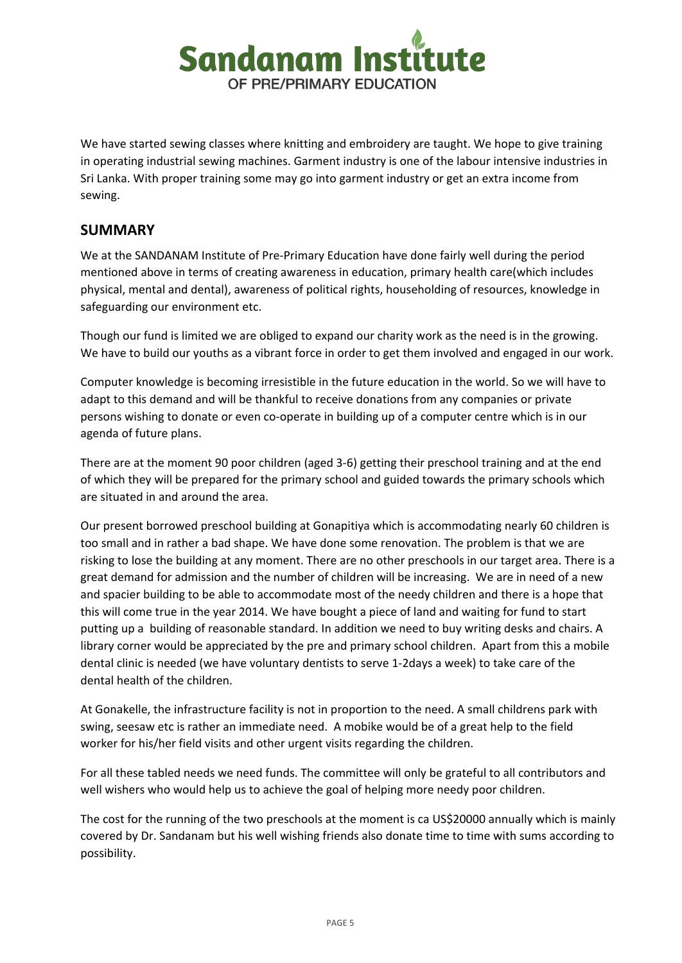

We have started sewing classes where knitting and embroidery are taught. We hope to give training in operating industrial sewing machines. Garment industry is one of the labour intensive industries in Sri Lanka. With proper training some may go into garment industry or get an extra income from sewing.

#### **SUMMARY**

We at the SANDANAM Institute of Pre-Primary Education have done fairly well during the period mentioned above in terms of creating awareness in education, primary health care(which includes physical, mental and dental), awareness of political rights, householding of resources, knowledge in safeguarding our environment etc.

Though our fund is limited we are obliged to expand our charity work as the need is in the growing. We have to build our youths as a vibrant force in order to get them involved and engaged in our work.

Computer knowledge is becoming irresistible in the future education in the world. So we will have to adapt to this demand and will be thankful to receive donations from any companies or private persons wishing to donate or even co-operate in building up of a computer centre which is in our agenda of future plans.

There are at the moment 90 poor children (aged 3-6) getting their preschool training and at the end of which they will be prepared for the primary school and guided towards the primary schools which are situated in and around the area.

Our present borrowed preschool building at Gonapitiya which is accommodating nearly 60 children is too small and in rather a bad shape. We have done some renovation. The problem is that we are risking to lose the building at any moment. There are no other preschools in our target area. There is a great demand for admission and the number of children will be increasing. We are in need of a new and spacier building to be able to accommodate most of the needy children and there is a hope that this will come true in the year 2014. We have bought a piece of land and waiting for fund to start putting up a building of reasonable standard. In addition we need to buy writing desks and chairs. A library corner would be appreciated by the pre and primary school children. Apart from this a mobile dental clinic is needed (we have voluntary dentists to serve 1-2days a week) to take care of the dental health of the children.

At Gonakelle, the infrastructure facility is not in proportion to the need. A small childrens park with swing, seesaw etc is rather an immediate need. A mobike would be of a great help to the field worker for his/her field visits and other urgent visits regarding the children.

For all these tabled needs we need funds. The committee will only be grateful to all contributors and well wishers who would help us to achieve the goal of helping more needy poor children.

The cost for the running of the two preschools at the moment is ca US\$20000 annually which is mainly covered by Dr. Sandanam but his well wishing friends also donate time to time with sums according to possibility.